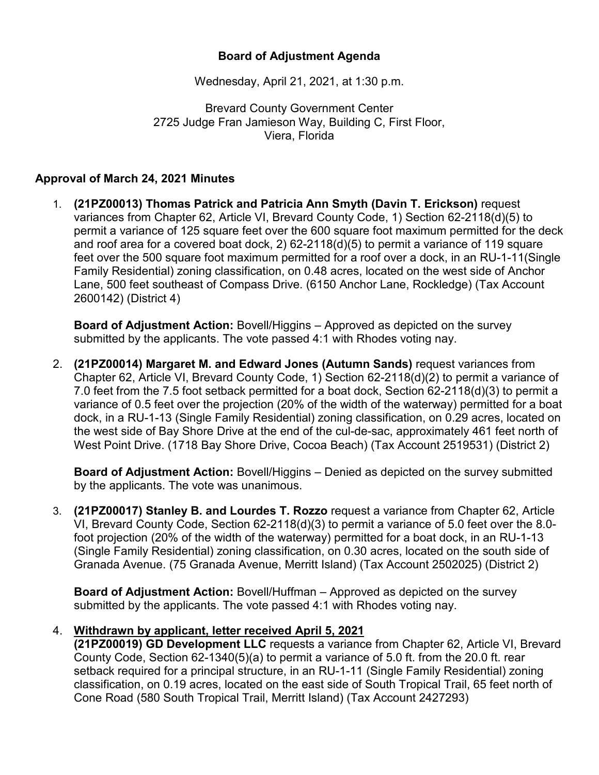## **Board of Adjustment Agenda**

Wednesday, April 21, 2021, at 1:30 p.m.

Brevard County Government Center 2725 Judge Fran Jamieson Way, Building C, First Floor, Viera, Florida

## **Approval of March 24, 2021 Minutes**

1. **(21PZ00013) Thomas Patrick and Patricia Ann Smyth (Davin T. Erickson)** request variances from Chapter 62, Article VI, Brevard County Code, 1) Section 62-2118(d)(5) to permit a variance of 125 square feet over the 600 square foot maximum permitted for the deck and roof area for a covered boat dock, 2) 62-2118(d)(5) to permit a variance of 119 square feet over the 500 square foot maximum permitted for a roof over a dock, in an RU-1-11(Single Family Residential) zoning classification, on 0.48 acres, located on the west side of Anchor Lane, 500 feet southeast of Compass Drive. (6150 Anchor Lane, Rockledge) (Tax Account 2600142) (District 4)

**Board of Adjustment Action:** Bovell/Higgins – Approved as depicted on the survey submitted by the applicants. The vote passed 4:1 with Rhodes voting nay.

2. **(21PZ00014) Margaret M. and Edward Jones (Autumn Sands)** request variances from Chapter 62, Article VI, Brevard County Code, 1) Section 62-2118(d)(2) to permit a variance of 7.0 feet from the 7.5 foot setback permitted for a boat dock, Section 62-2118(d)(3) to permit a variance of 0.5 feet over the projection (20% of the width of the waterway) permitted for a boat dock, in a RU-1-13 (Single Family Residential) zoning classification, on 0.29 acres, located on the west side of Bay Shore Drive at the end of the cul-de-sac, approximately 461 feet north of West Point Drive. (1718 Bay Shore Drive, Cocoa Beach) (Tax Account 2519531) (District 2)

**Board of Adjustment Action:** Bovell/Higgins – Denied as depicted on the survey submitted by the applicants. The vote was unanimous.

3. **(21PZ00017) Stanley B. and Lourdes T. Rozzo** request a variance from Chapter 62, Article VI, Brevard County Code, Section 62-2118(d)(3) to permit a variance of 5.0 feet over the 8.0 foot projection (20% of the width of the waterway) permitted for a boat dock, in an RU-1-13 (Single Family Residential) zoning classification, on 0.30 acres, located on the south side of Granada Avenue. (75 Granada Avenue, Merritt Island) (Tax Account 2502025) (District 2)

**Board of Adjustment Action:** Bovell/Huffman – Approved as depicted on the survey submitted by the applicants. The vote passed 4:1 with Rhodes voting nay.

## 4. **Withdrawn by applicant, letter received April 5, 2021**

**(21PZ00019) GD Development LLC** requests a variance from Chapter 62, Article VI, Brevard County Code, Section 62-1340(5)(a) to permit a variance of 5.0 ft. from the 20.0 ft. rear setback required for a principal structure, in an RU-1-11 (Single Family Residential) zoning classification, on 0.19 acres, located on the east side of South Tropical Trail, 65 feet north of Cone Road (580 South Tropical Trail, Merritt Island) (Tax Account 2427293)